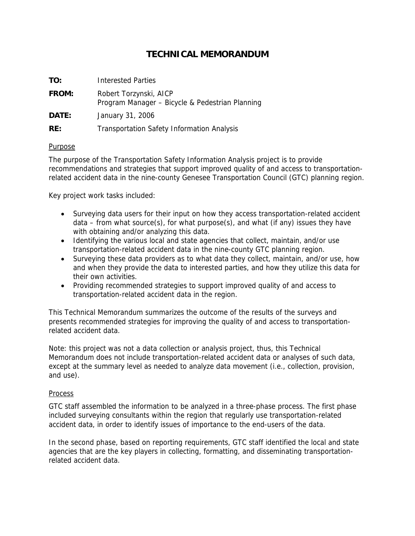# **TECHNICAL MEMORANDUM**

| TO:   | <b>Interested Parties</b>                                                 |
|-------|---------------------------------------------------------------------------|
| FROM: | Robert Torzynski, AICP<br>Program Manager - Bicycle & Pedestrian Planning |
| DATE: | January 31, 2006                                                          |
| RE:   | <b>Transportation Safety Information Analysis</b>                         |

## Purpose

The purpose of the Transportation Safety Information Analysis project is to provide recommendations and strategies that support improved quality of and access to transportationrelated accident data in the nine-county Genesee Transportation Council (GTC) planning region.

Key project work tasks included:

- Surveying data users for their input on how they access transportation-related accident data – from what source(s), for what purpose(s), and what (if any) issues they have with obtaining and/or analyzing this data.
- Identifying the various local and state agencies that collect, maintain, and/or use transportation-related accident data in the nine-county GTC planning region.
- Surveying these data providers as to what data they collect, maintain, and/or use, how and when they provide the data to interested parties, and how they utilize this data for their own activities.
- Providing recommended strategies to support improved quality of and access to transportation-related accident data in the region.

This Technical Memorandum summarizes the outcome of the results of the surveys and presents recommended strategies for improving the quality of and access to transportationrelated accident data.

Note: this project was not a data collection or analysis project, thus, this Technical Memorandum does not include transportation-related accident data or analyses of such data, except at the summary level as needed to analyze data movement (i.e., collection, provision, and use).

#### Process

GTC staff assembled the information to be analyzed in a three-phase process. The first phase included surveying consultants within the region that regularly use transportation-related accident data, in order to identify issues of importance to the end-users of the data.

In the second phase, based on reporting requirements, GTC staff identified the local and state agencies that are the key players in collecting, formatting, and disseminating transportationrelated accident data.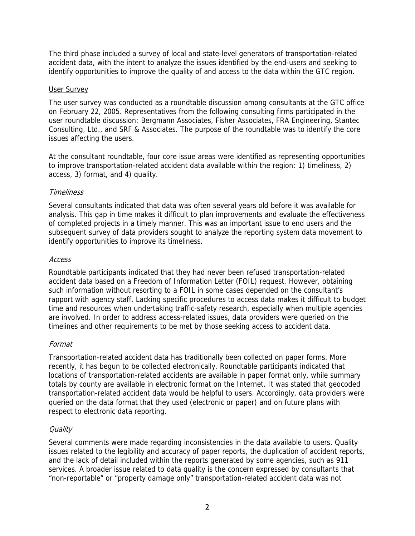The third phase included a survey of local and state-level generators of transportation-related accident data, with the intent to analyze the issues identified by the end-users and seeking to identify opportunities to improve the quality of and access to the data within the GTC region.

#### User Survey

The user survey was conducted as a roundtable discussion among consultants at the GTC office on February 22, 2005. Representatives from the following consulting firms participated in the user roundtable discussion: Bergmann Associates, Fisher Associates, FRA Engineering, Stantec Consulting, Ltd., and SRF & Associates. The purpose of the roundtable was to identify the core issues affecting the users.

At the consultant roundtable, four core issue areas were identified as representing opportunities to improve transportation-related accident data available within the region: 1) timeliness, 2) access, 3) format, and 4) quality.

## **Timeliness**

Several consultants indicated that data was often several years old before it was available for analysis. This gap in time makes it difficult to plan improvements and evaluate the effectiveness of completed projects in a timely manner. This was an important issue to end users and the subsequent survey of data providers sought to analyze the reporting system data movement to identify opportunities to improve its timeliness.

## Access

Roundtable participants indicated that they had never been refused transportation-related accident data based on a Freedom of Information Letter (FOIL) request. However, obtaining such information without resorting to a FOIL in some cases depended on the consultant's rapport with agency staff. Lacking specific procedures to access data makes it difficult to budget time and resources when undertaking traffic-safety research, especially when multiple agencies are involved. In order to address access-related issues, data providers were queried on the timelines and other requirements to be met by those seeking access to accident data.

## Format

Transportation-related accident data has traditionally been collected on paper forms. More recently, it has begun to be collected electronically. Roundtable participants indicated that locations of transportation-related accidents are available in paper format only, while summary totals by county are available in electronic format on the Internet. It was stated that geocoded transportation-related accident data would be helpful to users. Accordingly, data providers were queried on the data format that they used (electronic or paper) and on future plans with respect to electronic data reporting.

## **Quality**

Several comments were made regarding inconsistencies in the data available to users. Quality issues related to the legibility and accuracy of paper reports, the duplication of accident reports, and the lack of detail included within the reports generated by some agencies, such as 911 services. A broader issue related to data quality is the concern expressed by consultants that "non-reportable" or "property damage only" transportation-related accident data was not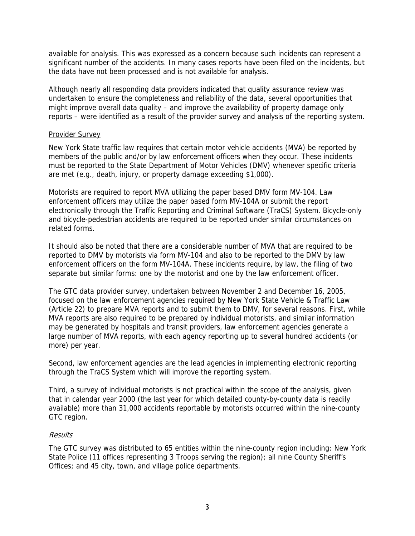available for analysis. This was expressed as a concern because such incidents can represent a significant number of the accidents. In many cases reports have been filed on the incidents, but the data have not been processed and is not available for analysis.

Although nearly all responding data providers indicated that quality assurance review was undertaken to ensure the completeness and reliability of the data, several opportunities that might improve overall data quality – and improve the availability of property damage only reports – were identified as a result of the provider survey and analysis of the reporting system.

#### Provider Survey

New York State traffic law requires that certain motor vehicle accidents (MVA) be reported by members of the public and/or by law enforcement officers when they occur. These incidents must be reported to the State Department of Motor Vehicles (DMV) whenever specific criteria are met (e.g., death, injury, or property damage exceeding \$1,000).

Motorists are required to report MVA utilizing the paper based DMV form MV-104. Law enforcement officers may utilize the paper based form MV-104A or submit the report electronically through the Traffic Reporting and Criminal Software (TraCS) System. Bicycle-only and bicycle-pedestrian accidents are required to be reported under similar circumstances on related forms.

It should also be noted that there are a considerable number of MVA that are required to be reported to DMV by motorists via form MV-104 and also to be reported to the DMV by law enforcement officers on the form MV-104A. These incidents require, by law, the filing of two separate but similar forms: one by the motorist and one by the law enforcement officer.

The GTC data provider survey, undertaken between November 2 and December 16, 2005, focused on the law enforcement agencies required by New York State Vehicle & Traffic Law (Article 22) to prepare MVA reports and to submit them to DMV, for several reasons. First, while MVA reports are also required to be prepared by individual motorists, and similar information may be generated by hospitals and transit providers, law enforcement agencies generate a large number of MVA reports, with each agency reporting up to several hundred accidents (or more) per year.

Second, law enforcement agencies are the lead agencies in implementing electronic reporting through the TraCS System which will improve the reporting system.

Third, a survey of individual motorists is not practical within the scope of the analysis, given that in calendar year 2000 (the last year for which detailed county-by-county data is readily available) more than 31,000 accidents reportable by motorists occurred within the nine-county GTC region.

## Results

The GTC survey was distributed to 65 entities within the nine-county region including: New York State Police (11 offices representing 3 Troops serving the region); all nine County Sheriff's Offices; and 45 city, town, and village police departments.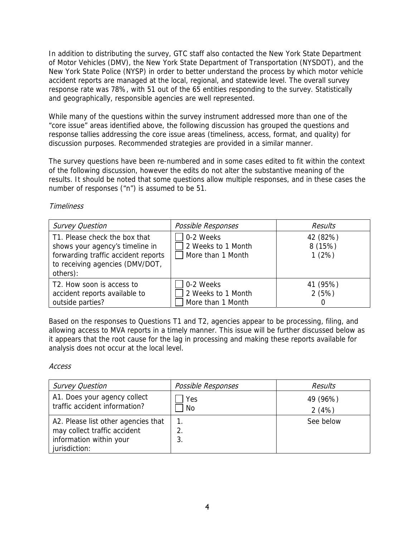In addition to distributing the survey, GTC staff also contacted the New York State Department of Motor Vehicles (DMV), the New York State Department of Transportation (NYSDOT), and the New York State Police (NYSP) in order to better understand the process by which motor vehicle accident reports are managed at the local, regional, and statewide level. The overall survey response rate was 78%, with 51 out of the 65 entities responding to the survey. Statistically and geographically, responsible agencies are well represented.

While many of the questions within the survey instrument addressed more than one of the "core issue" areas identified above, the following discussion has grouped the questions and response tallies addressing the core issue areas (timeliness, access, format, and quality) for discussion purposes. Recommended strategies are provided in a similar manner.

The survey questions have been re-numbered and in some cases edited to fit within the context of the following discussion, however the edits do not alter the substantive meaning of the results. It should be noted that some questions allow multiple responses, and in these cases the number of responses ("n") is assumed to be 51.

## **Timeliness**

| <b>Survey Question</b>                                                                                                                                 | Possible Responses                                   | <b>Results</b>                    |
|--------------------------------------------------------------------------------------------------------------------------------------------------------|------------------------------------------------------|-----------------------------------|
| T1. Please check the box that<br>shows your agency's timeline in<br>forwarding traffic accident reports<br>to receiving agencies (DMV/DOT,<br>others): | 0-2 Weeks<br>2 Weeks to 1 Month<br>More than 1 Month | 42 (82%)<br>8 (15%)<br>1(2%)      |
| T2. How soon is access to<br>accident reports available to<br>outside parties?                                                                         | 0-2 Weeks<br>2 Weeks to 1 Month<br>More than 1 Month | 41 (95%)<br>2(5%)<br>$\mathbf{0}$ |

Based on the responses to Questions T1 and T2, agencies appear to be processing, filing, and allowing access to MVA reports in a timely manner. This issue will be further discussed below as it appears that the root cause for the lag in processing and making these reports available for analysis does not occur at the local level.

## Access

| <b>Survey Question</b>                                              | Possible Responses         | Results   |
|---------------------------------------------------------------------|----------------------------|-----------|
| A1. Does your agency collect                                        | Yes                        | 49 (96%)  |
| traffic accident information?                                       | No                         | 2(4%)     |
| A2. Please list other agencies that<br>may collect traffic accident | $\mathbf{1}$ .<br>2.<br>3. | See below |
| information within your<br>jurisdiction:                            |                            |           |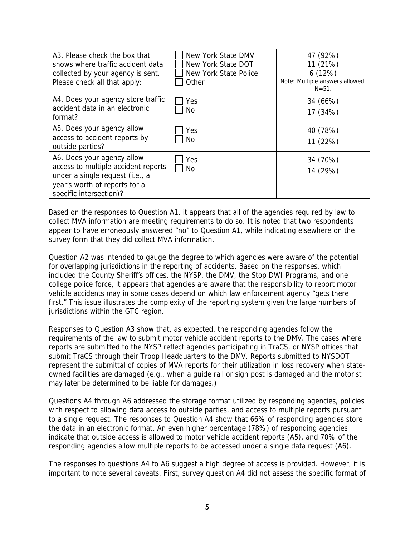| A3. Please check the box that<br>shows where traffic accident data<br>collected by your agency is sent.<br>Please check all that apply:                          | New York State DMV<br>New York State DOT<br>New York State Police<br>Other | 47 (92%)<br>11 (21%)<br>6(12%)<br>Note: Multiple answers allowed.<br>$N = 51$ . |
|------------------------------------------------------------------------------------------------------------------------------------------------------------------|----------------------------------------------------------------------------|---------------------------------------------------------------------------------|
| A4. Does your agency store traffic<br>accident data in an electronic<br>format?                                                                                  | Yes<br>No                                                                  | 34 (66%)<br>17 (34%)                                                            |
| A5. Does your agency allow<br>access to accident reports by<br>outside parties?                                                                                  | Yes<br>No.                                                                 | 40 (78%)<br>11 (22%)                                                            |
| A6. Does your agency allow<br>access to multiple accident reports<br>under a single request (i.e., a<br>year's worth of reports for a<br>specific intersection)? | Yes<br>No.                                                                 | 34 (70%)<br>14 (29%)                                                            |

Based on the responses to Question A1, it appears that all of the agencies required by law to collect MVA information are meeting requirements to do so. It is noted that two respondents appear to have erroneously answered "no" to Question A1, while indicating elsewhere on the survey form that they did collect MVA information.

Question A2 was intended to gauge the degree to which agencies were aware of the potential for overlapping jurisdictions in the reporting of accidents. Based on the responses, which included the County Sheriff's offices, the NYSP, the DMV, the Stop DWI Programs, and one college police force, it appears that agencies are aware that the responsibility to report motor vehicle accidents may in some cases depend on which law enforcement agency "gets there first." This issue illustrates the complexity of the reporting system given the large numbers of jurisdictions within the GTC region.

Responses to Question A3 show that, as expected, the responding agencies follow the requirements of the law to submit motor vehicle accident reports to the DMV. The cases where reports are submitted to the NYSP reflect agencies participating in TraCS, or NYSP offices that submit TraCS through their Troop Headquarters to the DMV. Reports submitted to NYSDOT represent the submittal of copies of MVA reports for their utilization in loss recovery when stateowned facilities are damaged (e.g., when a guide rail or sign post is damaged and the motorist may later be determined to be liable for damages.)

Questions A4 through A6 addressed the storage format utilized by responding agencies, policies with respect to allowing data access to outside parties, and access to multiple reports pursuant to a single request. The responses to Question A4 show that 66% of responding agencies store the data in an electronic format. An even higher percentage (78%) of responding agencies indicate that outside access is allowed to motor vehicle accident reports (A5), and 70% of the responding agencies allow multiple reports to be accessed under a single data request (A6).

The responses to questions A4 to A6 suggest a high degree of access is provided. However, it is important to note several caveats. First, survey question A4 did not assess the specific format of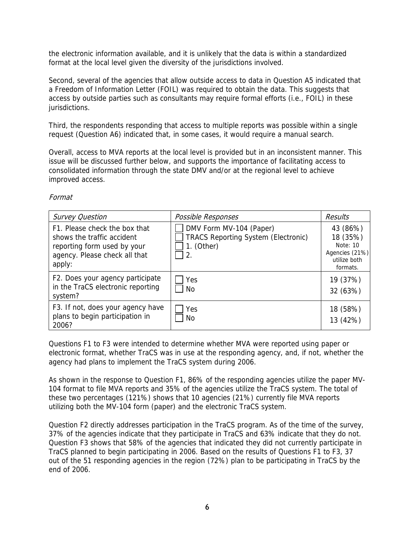the electronic information available, and it is unlikely that the data is within a standardized format at the local level given the diversity of the jurisdictions involved.

Second, several of the agencies that allow outside access to data in Question A5 indicated that a Freedom of Information Letter (FOIL) was required to obtain the data. This suggests that access by outside parties such as consultants may require formal efforts (i.e., FOIL) in these jurisdictions.

Third, the respondents responding that access to multiple reports was possible within a single request (Question A6) indicated that, in some cases, it would require a manual search.

Overall, access to MVA reports at the local level is provided but in an inconsistent manner. This issue will be discussed further below, and supports the importance of facilitating access to consolidated information through the state DMV and/or at the regional level to achieve improved access.

| Format |  |
|--------|--|
|        |  |

| <b>Survey Question</b>                                                                                                                | Possible Responses                                                                                    | Results                                                                        |
|---------------------------------------------------------------------------------------------------------------------------------------|-------------------------------------------------------------------------------------------------------|--------------------------------------------------------------------------------|
| F1. Please check the box that<br>shows the traffic accident<br>reporting form used by your<br>agency. Please check all that<br>apply: | DMV Form MV-104 (Paper)<br><b>TRACS Reporting System (Electronic)</b><br>1. (Other)<br>$\overline{2}$ | 43 (86%)<br>18 (35%)<br>Note: 10<br>Agencies (21%)<br>utilize both<br>formats. |
| F2. Does your agency participate<br>in the TraCS electronic reporting<br>system?                                                      | Yes<br>No.                                                                                            | 19 (37%)<br>32 (63%)                                                           |
| F3. If not, does your agency have<br>plans to begin participation in<br>2006?                                                         | Yes<br>No                                                                                             | 18 (58%)<br>13 (42%)                                                           |

Questions F1 to F3 were intended to determine whether MVA were reported using paper or electronic format, whether TraCS was in use at the responding agency, and, if not, whether the agency had plans to implement the TraCS system during 2006.

As shown in the response to Question F1, 86% of the responding agencies utilize the paper MV-104 format to file MVA reports and 35% of the agencies utilize the TraCS system. The total of these two percentages (121%) shows that 10 agencies (21%) currently file MVA reports utilizing both the MV-104 form (paper) and the electronic TraCS system.

Question F2 directly addresses participation in the TraCS program. As of the time of the survey, 37% of the agencies indicate that they participate in TraCS and 63% indicate that they do not. Question F3 shows that 58% of the agencies that indicated they did not currently participate in TraCS planned to begin participating in 2006. Based on the results of Questions F1 to F3, 37 out of the 51 responding agencies in the region (72%) plan to be participating in TraCS by the end of 2006.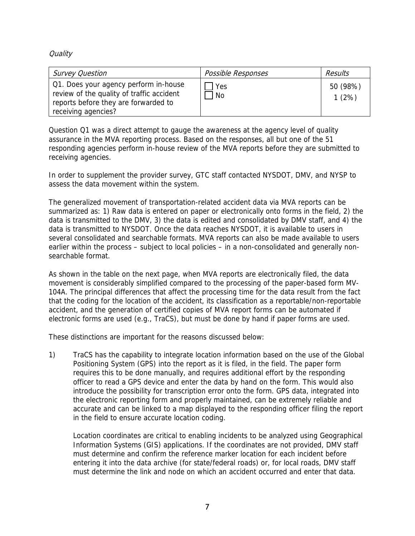**Quality** 

| <b>Survey Question</b>                                                                                                                            | Possible Responses | Results           |
|---------------------------------------------------------------------------------------------------------------------------------------------------|--------------------|-------------------|
| Q1. Does your agency perform in-house<br>review of the quality of traffic accident<br>reports before they are forwarded to<br>receiving agencies? | Yes<br><b>No</b>   | 50 (98%)<br>1(2%) |

Question Q1 was a direct attempt to gauge the awareness at the agency level of quality assurance in the MVA reporting process. Based on the responses, all but one of the 51 responding agencies perform in-house review of the MVA reports before they are submitted to receiving agencies.

In order to supplement the provider survey, GTC staff contacted NYSDOT, DMV, and NYSP to assess the data movement within the system.

The generalized movement of transportation-related accident data via MVA reports can be summarized as: 1) Raw data is entered on paper or electronically onto forms in the field, 2) the data is transmitted to the DMV, 3) the data is edited and consolidated by DMV staff, and 4) the data is transmitted to NYSDOT. Once the data reaches NYSDOT, it is available to users in several consolidated and searchable formats. MVA reports can also be made available to users earlier within the process – subject to local policies – in a non-consolidated and generally nonsearchable format.

As shown in the table on the next page, when MVA reports are electronically filed, the data movement is considerably simplified compared to the processing of the paper-based form MV-104A. The principal differences that affect the processing time for the data result from the fact that the coding for the location of the accident, its classification as a reportable/non-reportable accident, and the generation of certified copies of MVA report forms can be automated if electronic forms are used (e.g., TraCS), but must be done by hand if paper forms are used.

These distinctions are important for the reasons discussed below:

1) TraCS has the capability to integrate location information based on the use of the Global Positioning System (GPS) into the report as it is filed, in the field. The paper form requires this to be done manually, and requires additional effort by the responding officer to read a GPS device and enter the data by hand on the form. This would also introduce the possibility for transcription error onto the form. GPS data, integrated into the electronic reporting form and properly maintained, can be extremely reliable and accurate and can be linked to a map displayed to the responding officer filing the report in the field to ensure accurate location coding.

Location coordinates are critical to enabling incidents to be analyzed using Geographical Information Systems (GIS) applications. If the coordinates are not provided, DMV staff must determine and confirm the reference marker location for each incident before entering it into the data archive (for state/federal roads) or, for local roads, DMV staff must determine the link and node on which an accident occurred and enter that data.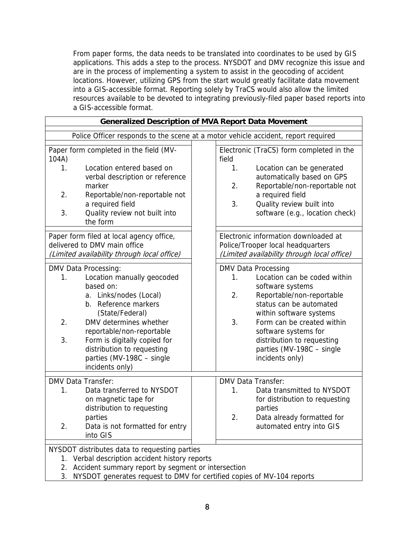From paper forms, the data needs to be translated into coordinates to be used by GIS applications. This adds a step to the process. NYSDOT and DMV recognize this issue and are in the process of implementing a system to assist in the geocoding of accident locations. However, utilizing GPS from the start would greatly facilitate data movement into a GIS-accessible format. Reporting solely by TraCS would also allow the limited resources available to be devoted to integrating previously-filed paper based reports into a GIS-accessible format.

| <b>Generalized Description of MVA Report Data Movement</b>                                                                                                                                                                                                                                                                  |                                                                                                                                                                                                                                                                                                                         |  |  |
|-----------------------------------------------------------------------------------------------------------------------------------------------------------------------------------------------------------------------------------------------------------------------------------------------------------------------------|-------------------------------------------------------------------------------------------------------------------------------------------------------------------------------------------------------------------------------------------------------------------------------------------------------------------------|--|--|
| Police Officer responds to the scene at a motor vehicle accident, report required                                                                                                                                                                                                                                           |                                                                                                                                                                                                                                                                                                                         |  |  |
| Paper form completed in the field (MV-<br>104A)<br>Location entered based on<br>1.<br>verbal description or reference<br>marker<br>2.<br>Reportable/non-reportable not<br>a required field<br>3.<br>Quality review not built into<br>the form                                                                               | Electronic (TraCS) form completed in the<br>field<br>1.<br>Location can be generated<br>automatically based on GPS<br>2.<br>Reportable/non-reportable not<br>a required field<br>3.<br>Quality review built into<br>software (e.g., location check)                                                                     |  |  |
| Paper form filed at local agency office,<br>delivered to DMV main office<br>(Limited availability through local office)                                                                                                                                                                                                     | Electronic information downloaded at<br>Police/Trooper local headquarters<br>(Limited availability through local office)                                                                                                                                                                                                |  |  |
| DMV Data Processing:<br>Location manually geocoded<br>1.<br>based on:<br>a. Links/nodes (Local)<br>b. Reference markers<br>(State/Federal)<br>2.<br>DMV determines whether<br>reportable/non-reportable<br>3.<br>Form is digitally copied for<br>distribution to requesting<br>parties (MV-198C - single<br>incidents only) | <b>DMV Data Processing</b><br>Location can be coded within<br>1.<br>software systems<br>2.<br>Reportable/non-reportable<br>status can be automated<br>within software systems<br>3.<br>Form can be created within<br>software systems for<br>distribution to requesting<br>parties (MV-198C - single<br>incidents only) |  |  |
| <b>DMV Data Transfer:</b><br>Data transferred to NYSDOT<br>1.<br>on magnetic tape for<br>distribution to requesting<br>parties<br>2.<br>Data is not formatted for entry<br>into GIS                                                                                                                                         | <b>DMV Data Transfer:</b><br>Data transmitted to NYSDOT<br>1.<br>for distribution to requesting<br>parties<br>2.<br>Data already formatted for<br>automated entry into GIS                                                                                                                                              |  |  |
| NYSDOT distributes data to requesting parties<br>1. Verbal description accident history reports<br>Accident summary report by segment or intersection<br>2.<br>3.<br>NYSDOT generates request to DMV for certified copies of MV-104 reports                                                                                 |                                                                                                                                                                                                                                                                                                                         |  |  |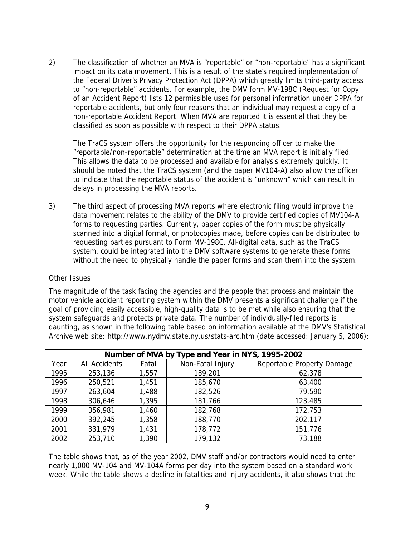2) The classification of whether an MVA is "reportable" or "non-reportable" has a significant impact on its data movement. This is a result of the state's required implementation of the Federal Driver's Privacy Protection Act (DPPA) which greatly limits third-party access to "non-reportable" accidents. For example, the DMV form MV-198C (Request for Copy of an Accident Report) lists 12 permissible uses for personal information under DPPA for reportable accidents, but only four reasons that an individual may request a copy of a non-reportable Accident Report. When MVA are reported it is essential that they be classified as soon as possible with respect to their DPPA status.

The TraCS system offers the opportunity for the responding officer to make the "reportable/non-reportable" determination at the time an MVA report is initially filed. This allows the data to be processed and available for analysis extremely quickly. It should be noted that the TraCS system (and the paper MV104-A) also allow the officer to indicate that the reportable status of the accident is "unknown" which can result in delays in processing the MVA reports.

3) The third aspect of processing MVA reports where electronic filing would improve the data movement relates to the ability of the DMV to provide certified copies of MV104-A forms to requesting parties. Currently, paper copies of the form must be physically scanned into a digital format, or photocopies made, before copies can be distributed to requesting parties pursuant to Form MV-198C. All-digital data, such as the TraCS system, could be integrated into the DMV software systems to generate these forms without the need to physically handle the paper forms and scan them into the system.

#### Other Issues

The magnitude of the task facing the agencies and the people that process and maintain the motor vehicle accident reporting system within the DMV presents a significant challenge if the goal of providing easily accessible, high-quality data is to be met while also ensuring that the system safeguards and protects private data. The number of individually-filed reports is daunting, as shown in the following table based on information available at the DMV's Statistical Archive web site: http://www.nydmv.state.ny.us/stats-arc.htm (date accessed: January 5, 2006):

| Number of MVA by Type and Year in NYS, 1995-2002 |                      |       |                  |                            |
|--------------------------------------------------|----------------------|-------|------------------|----------------------------|
| Year                                             | <b>All Accidents</b> | Fatal | Non-Fatal Injury | Reportable Property Damage |
| 1995                                             | 253,136              | 1,557 | 189,201          | 62,378                     |
| 1996                                             | 250,521              | 1,451 | 185,670          | 63,400                     |
| 1997                                             | 263,604              | 1,488 | 182,526          | 79,590                     |
| 1998                                             | 306,646              | 1,395 | 181,766          | 123,485                    |
| 1999                                             | 356,981              | 1,460 | 182,768          | 172,753                    |
| 2000                                             | 392,245              | 1,358 | 188,770          | 202,117                    |
| 2001                                             | 331,979              | 1,431 | 178,772          | 151,776                    |
| 2002                                             | 253,710              | 1,390 | 179,132          | 73,188                     |

The table shows that, as of the year 2002, DMV staff and/or contractors would need to enter nearly 1,000 MV-104 and MV-104A forms per day into the system based on a standard work week. While the table shows a decline in fatalities and injury accidents, it also shows that the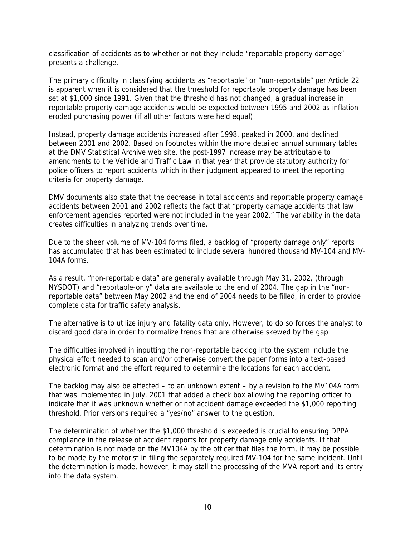classification of accidents as to whether or not they include "reportable property damage" presents a challenge.

The primary difficulty in classifying accidents as "reportable" or "non-reportable" per Article 22 is apparent when it is considered that the threshold for reportable property damage has been set at \$1,000 since 1991. Given that the threshold has not changed, a gradual increase in reportable property damage accidents would be expected between 1995 and 2002 as inflation eroded purchasing power (if all other factors were held equal).

Instead, property damage accidents increased after 1998, peaked in 2000, and declined between 2001 and 2002. Based on footnotes within the more detailed annual summary tables at the DMV Statistical Archive web site, the post-1997 increase may be attributable to amendments to the Vehicle and Traffic Law in that year that provide statutory authority for police officers to report accidents which in their judgment appeared to meet the reporting criteria for property damage.

DMV documents also state that the decrease in total accidents and reportable property damage accidents between 2001 and 2002 reflects the fact that "property damage accidents that law enforcement agencies reported were not included in the year 2002." The variability in the data creates difficulties in analyzing trends over time.

Due to the sheer volume of MV-104 forms filed, a backlog of "property damage only" reports has accumulated that has been estimated to include several hundred thousand MV-104 and MV-104A forms.

As a result, "non-reportable data" are generally available through May 31, 2002, (through NYSDOT) and "reportable-only" data are available to the end of 2004. The gap in the "nonreportable data" between May 2002 and the end of 2004 needs to be filled, in order to provide complete data for traffic safety analysis.

The alternative is to utilize injury and fatality data only. However, to do so forces the analyst to discard good data in order to normalize trends that are otherwise skewed by the gap.

The difficulties involved in inputting the non-reportable backlog into the system include the physical effort needed to scan and/or otherwise convert the paper forms into a text-based electronic format and the effort required to determine the locations for each accident.

The backlog may also be affected – to an unknown extent – by a revision to the MV104A form that was implemented in July, 2001 that added a check box allowing the reporting officer to indicate that it was unknown whether or not accident damage exceeded the \$1,000 reporting threshold. Prior versions required a "yes/no" answer to the question.

The determination of whether the \$1,000 threshold is exceeded is crucial to ensuring DPPA compliance in the release of accident reports for property damage only accidents. If that determination is not made on the MV104A by the officer that files the form, it may be possible to be made by the motorist in filing the separately required MV-104 for the same incident. Until the determination is made, however, it may stall the processing of the MVA report and its entry into the data system.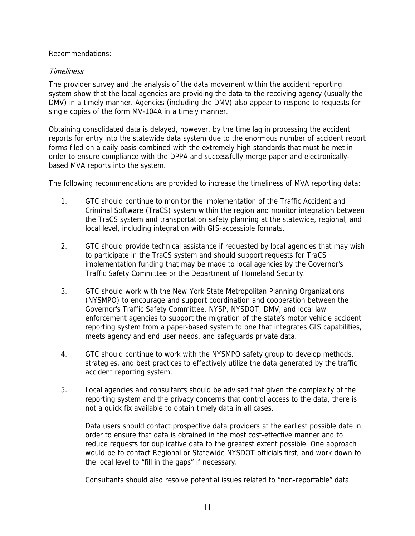#### Recommendations:

## **Timeliness**

The provider survey and the analysis of the data movement within the accident reporting system show that the local agencies are providing the data to the receiving agency (usually the DMV) in a timely manner. Agencies (including the DMV) also appear to respond to requests for single copies of the form MV-104A in a timely manner.

Obtaining consolidated data is delayed, however, by the time lag in processing the accident reports for entry into the statewide data system due to the enormous number of accident report forms filed on a daily basis combined with the extremely high standards that must be met in order to ensure compliance with the DPPA and successfully merge paper and electronicallybased MVA reports into the system.

The following recommendations are provided to increase the timeliness of MVA reporting data:

- 1. GTC should continue to monitor the implementation of the Traffic Accident and Criminal Software (TraCS) system within the region and monitor integration between the TraCS system and transportation safety planning at the statewide, regional, and local level, including integration with GIS-accessible formats.
- 2. GTC should provide technical assistance if requested by local agencies that may wish to participate in the TraCS system and should support requests for TraCS implementation funding that may be made to local agencies by the Governor's Traffic Safety Committee or the Department of Homeland Security.
- 3. GTC should work with the New York State Metropolitan Planning Organizations (NYSMPO) to encourage and support coordination and cooperation between the Governor's Traffic Safety Committee, NYSP, NYSDOT, DMV, and local law enforcement agencies to support the migration of the state's motor vehicle accident reporting system from a paper-based system to one that integrates GIS capabilities, meets agency and end user needs, and safeguards private data.
- 4. GTC should continue to work with the NYSMPO safety group to develop methods, strategies, and best practices to effectively utilize the data generated by the traffic accident reporting system.
- 5. Local agencies and consultants should be advised that given the complexity of the reporting system and the privacy concerns that control access to the data, there is not a quick fix available to obtain timely data in all cases.

Data users should contact prospective data providers at the earliest possible date in order to ensure that data is obtained in the most cost-effective manner and to reduce requests for duplicative data to the greatest extent possible. One approach would be to contact Regional or Statewide NYSDOT officials first, and work down to the local level to "fill in the gaps" if necessary.

Consultants should also resolve potential issues related to "non-reportable" data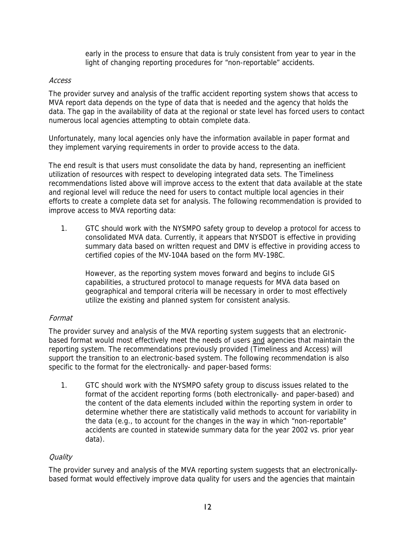early in the process to ensure that data is truly consistent from year to year in the light of changing reporting procedures for "non-reportable" accidents.

## Access

The provider survey and analysis of the traffic accident reporting system shows that access to MVA report data depends on the type of data that is needed and the agency that holds the data. The gap in the availability of data at the regional or state level has forced users to contact numerous local agencies attempting to obtain complete data.

Unfortunately, many local agencies only have the information available in paper format and they implement varying requirements in order to provide access to the data.

The end result is that users must consolidate the data by hand, representing an inefficient utilization of resources with respect to developing integrated data sets. The Timeliness recommendations listed above will improve access to the extent that data available at the state and regional level will reduce the need for users to contact multiple local agencies in their efforts to create a complete data set for analysis. The following recommendation is provided to improve access to MVA reporting data:

1. GTC should work with the NYSMPO safety group to develop a protocol for access to consolidated MVA data. Currently, it appears that NYSDOT is effective in providing summary data based on written request and DMV is effective in providing access to certified copies of the MV-104A based on the form MV-198C.

However, as the reporting system moves forward and begins to include GIS capabilities, a structured protocol to manage requests for MVA data based on geographical and temporal criteria will be necessary in order to most effectively utilize the existing and planned system for consistent analysis.

## Format

The provider survey and analysis of the MVA reporting system suggests that an electronicbased format would most effectively meet the needs of users and agencies that maintain the reporting system. The recommendations previously provided (Timeliness and Access) will support the transition to an electronic-based system. The following recommendation is also specific to the format for the electronically- and paper-based forms:

1. GTC should work with the NYSMPO safety group to discuss issues related to the format of the accident reporting forms (both electronically- and paper-based) and the content of the data elements included within the reporting system in order to determine whether there are statistically valid methods to account for variability in the data (e.g., to account for the changes in the way in which "non-reportable" accidents are counted in statewide summary data for the year 2002 vs. prior year data).

## **Quality**

The provider survey and analysis of the MVA reporting system suggests that an electronicallybased format would effectively improve data quality for users and the agencies that maintain